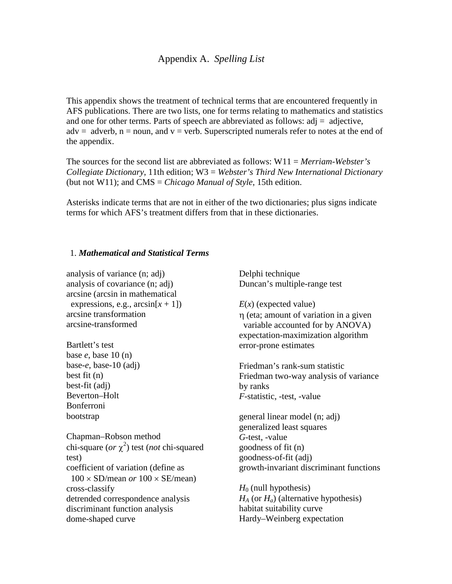## Appendix A. *Spelling List*

This appendix shows the treatment of technical terms that are encountered frequently in AFS publications. There are two lists, one for terms relating to mathematics and statistics and one for other terms. Parts of speech are abbreviated as follows:  $\text{adj} = \text{adjective}$ ,  $adv = adverb, n = noun, and v = verb. Superscripted numerals refer to notes at the end of$ the appendix.

The sources for the second list are abbreviated as follows: W11 = *Merriam-Webster's Collegiate Dictionary*, 11th edition; W3 = *Webster's Third New International Dictionary*  (but not W11); and CMS = *Chicago Manual of Style*, 15th edition.

Asterisks indicate terms that are not in either of the two dictionaries; plus signs indicate terms for which AFS's treatment differs from that in these dictionaries.

## 1. *Mathematical and Statistical Terms*

analysis of variance (n; adj) analysis of covariance (n; adj) arcsine (arcsin in mathematical expressions, e.g.,  $\arcsin(x + 1)$ arcsine transformation arcsine-transformed

Bartlett's test base *e*, base 10 (n) base-*e*, base-10 (adj) best fit (n) best-fit (adj) Beverton–Holt Bonferroni bootstrap

Chapman–Robson method chi-square  $(or \chi^2)$  test (*not* chi-squared test) coefficient of variation (define as  $100 \times SD/m$ ean *or*  $100 \times SE/m$ ean) cross-classify detrended correspondence analysis discriminant function analysis dome-shaped curve

Delphi technique Duncan's multiple-range test

*E*(*x*) (expected value)

η (eta; amount of variation in a given variable accounted for by ANOVA) expectation-maximization algorithm error-prone estimates

Friedman's rank-sum statistic Friedman two-way analysis of variance by ranks *F*-statistic, -test, -value

general linear model (n; adj) generalized least squares *G*-test, -value goodness of fit (n) goodness-of-fit (adj) growth-invariant discriminant functions

 $H_0$  (null hypothesis) *HA* (or *Ha*) (alternative hypothesis) habitat suitability curve Hardy–Weinberg expectation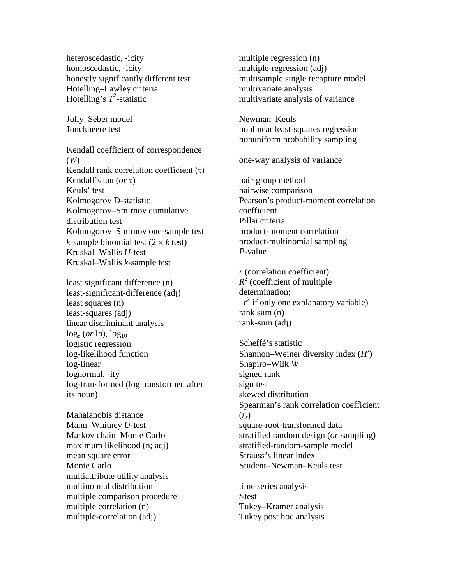heteroscedastic, -icity homoscedastic, -icity honestly significantly different test Hotelling–Lawley criteria Hotelling's  $T^2$ -statistic

Jolly–Seber model Jonckheere test

Kendall coefficient of correspondence (*W*) Kendall rank correlation coefficient  $(\tau)$ Kendall's tau (*or* τ) Keuls' test Kolmogorov D-statistic Kolmogorov–Smirnov cumulative distribution test Kolmogorov–Smirnov one-sample test *k*-sample binomial test  $(2 \times k \text{ test})$ Kruskal–Wallis *H*-test Kruskal–Wallis *k*-sample test

least significant difference (n) least-significant-difference (adj) least squares (n) least-squares (adj) linear discriminant analysis  $\log_e$  (*or* ln),  $\log_{10}$ logistic regression log-likelihood function log-linear lognormal, -ity log-transformed (log transformed after its noun)

Mahalanobis distance Mann–Whitney *U*-test Markov chain–Monte Carlo maximum likelihood (n; adj) mean square error Monte Carlo multiattribute utility analysis multinomial distribution multiple comparison procedure multiple correlation (n) multiple-correlation (adj)

multiple regression (n) multiple-regression (adj) multisample single recapture model multivariate analysis multivariate analysis of variance

Newman–Keuls nonlinear least-squares regression nonuniform probability sampling

one-way analysis of variance

pair-group method pairwise comparison Pearson's product-moment correlation coefficient Pillai criteria product-moment correlation product-multinomial sampling *P*-value

*r* (correlation coefficient)  $R^2$  (coefficient of multiple determination;  $r^2$  if only one explanatory variable) rank sum (n) rank-sum (adj)

Scheffé's statistic Shannon–Weiner diversity index (*H*′) Shapiro–Wilk *W* signed rank sign test skewed distribution Spearman's rank correlation coefficient (*rs*) square-root-transformed data stratified random design (*or* sampling) stratified-random-sample model Strauss's linear index Student–Newman–Keuls test

time series analysis *t*-test Tukey–Kramer analysis Tukey post hoc analysis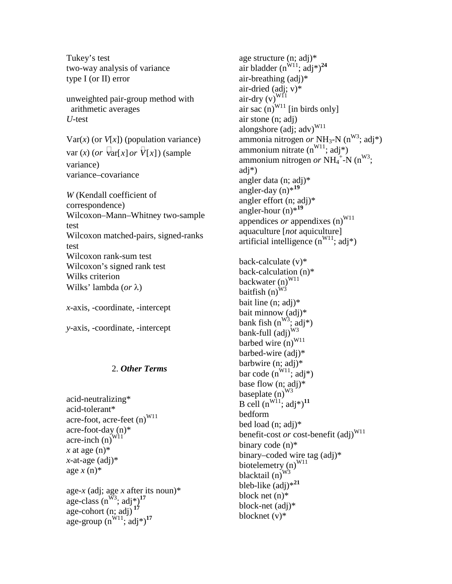Tukey's test two-way analysis of variance type I (or II) error

unweighted pair-group method with arithmetic averages *U*-test

 $Var(x)$  (or  $V[x]$ ) (population variance)  $var(x)$  (*or*  $\overline{var}[x]$  *or*  $\overline{V}[x]$ ) (sample variance) variance–covariance

*W* (Kendall coefficient of correspondence) Wilcoxon–Mann–Whitney two-sample test Wilcoxon matched-pairs, signed-ranks test Wilcoxon rank-sum test Wilcoxon's signed rank test Wilks criterion Wilks' lambda (*or* λ)

*x*-axis, -coordinate, -intercept

*y*-axis, -coordinate, -intercept

## 2. *Other Terms*

acid-neutralizing\* acid-tolerant\* acre-foot, acre-feet  $(n)^{W11}$ acre-foot-day (n)\* acre-inch  $(n)^{W11}$  $x$  at age  $(n)$ <sup>\*</sup>  $x$ -at-age (adj)\* age *x* (n)\*

age-*x* (adj; age *x* after its noun)\* age-class  $(n^{W3}; \text{adj}^*)^{17}$ age-cohort  $(n; \text{adj})^{17}$  $age-group (n<sup>W11</sup>; adj*)<sup>17</sup>$ 

age structure (n; adj)\* air bladder  $(n^{\hat{W}_1 1}; a d j^*)^{24}$ air-breathing (adj)\* air-dried (adj; v)\* air-dry  $(v)^{W11}$ air sac  $(n)^{W11}$  [in birds only] air stone (n; adj) alongshore (adj; adv)<sup>W11</sup> ammonia nitrogen *or* NH<sub>3</sub>-N ( $n^{W3}$ ; adj\*) ammonium nitrate  $(n^{W11}; \text{adj*})$ ammonium nitrogen or  $NH_4^+$ -N (n<sup>W3</sup>; adj\*) angler data (n; adj)\* angler-day  $(n)$ <sup> $*$ 19</sup> angler effort (n; adj)\* angler-hour (n)\***<sup>19</sup>** appendices *or* appendixes  $(n)^{W11}$ aquaculture [*not* aquiculture] artificial intelligence  $(n^{W11}; adj^*)$ 

back-calculate (v)\* back-calculation (n)\* backwater (n)<sup>W11</sup> baitfish  $(n)^{W3}$ bait line (n; adj)\* bait minnow (adj)\* bank fish  $(n^{W_3}; \text{adj*})$ bank-full  $\left( adi\right) ^{W3}$ barbed wire  $(n)^{W11}$ barbed-wire (adj)\* barbwire (n; adj)\* bar code  $(n^{W11}; \text{adj*})$ base flow (n; adj)\* baseplate (n)<sup>W3</sup> B cell  $(n^{W11}; adj^*)^{11}$ bedform bed load (n; adj)\* benefit-cost *or* cost-benefit (adj)<sup>W11</sup> binary code (n)\* binary–coded wire tag (adj)\* biotelemetry  $(n)^{W11}$ blacktail  $(n)^{W3}$ bleb-like (adj)\***<sup>21</sup>** block net (n)\* block-net (adj)\* blocknet (v)\*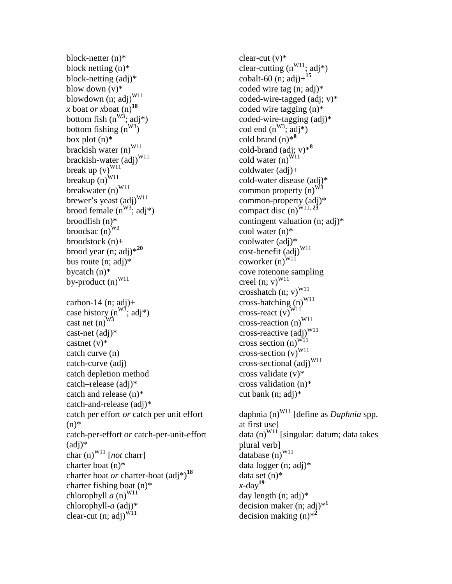block-netter (n)\* block netting (n)\* block-netting (adj)\* blow down  $(v)$ <sup>\*</sup> blowdown  $(n; adj)^{W11}$ *x* boat *or x*boat  $(n)$ <sup>18</sup> bottom fish  $(n^{W_3}; \dot{a}dj^*)$ bottom fishing  $(n^{W3})$ box plot (n)\* brackish water  $(n)^{W11}$ brackish-water (adj)<sup>W11</sup> break up  $(v)^{W11}$ breakup  $\overrightarrow{(n)}^{W11}$ breakwater  $(n)^{W11}$ brewer's yeast (adj)<sup>W11</sup> brood female  $(n^{W3})$ ; adj\*) broodfish (n)\* broodsac  $(n)^{W3}$ broodstock (n)+ brood year (n; adj)\***<sup>20</sup>** bus route (n; adj)\* bycatch (n)\* by-product  $(n)^{W11}$ carbon-14  $(n; adj)+$ case history  $(n^{W3}; \text{adj*})$ cast net  $(n)^{W_3}$ cast-net (adj)\* castnet  $(v)^*$ catch curve (n) catch-curve (adj) catch depletion method catch–release (adj)\* catch and release (n)\* catch-and-release (adj)\* catch per effort *or* catch per unit effort  $(n)$ \* catch-per-effort *or* catch-per-unit-effort  $(adi)*$ char  $(n)^{W11}$  [*not* charr] charter boat (n)\* charter boat *or* charter-boat (adj\*)**<sup>18</sup>** charter fishing boat (n)\* chlorophyll  $\overline{a}$  (n)<sup>W11</sup> chlorophyll-*a* (adj)\* clear-cut (n; adj) $^{W11}$ 

clear-cut  $(v)$ <sup>\*</sup> clear-cutting  $(n^{W11}; \text{adj*})$ cobalt-60 (n; adj)+**<sup>15</sup>** coded wire tag (n; adj)\* coded-wire-tagged (adj; v)\* coded wire tagging (n)\* coded-wire-tagging (adj)\* cod end  $(n^{W3}; \text{adj*})$ cold brand (n)\***<sup>8</sup>** cold-brand (adj; v)\***<sup>8</sup>** cold water  $(n)^{W11}$ coldwater (adj)+ cold-water disease (adj)\* common property  $(n)^{W3}$ common-property (adj)\* compact disc (n)<sup>W11, 23</sup> contingent valuation (n; adj)\* cool water (n)\* coolwater (adj)\* cost-benefit (adj)<sup>W11</sup> coworker  $(n)^{W11}$ cove rotenone sampling creel  $(n; v)^{W11}$ crosshatch  $(n; v)^{W11}$ cross-hatching  $(n)^{W11}$ cross-react  $(v)^{\text{W11}}$ cross-reaction  $(n)^{W11}$ cross-reactive (adj)<sup>W11</sup> cross section  $(n)^{W_{11}}$ cross-section  $(v)^{W11}$ cross-sectional  $\left(\text{adj}\right)^{W11}$ cross validate (v)\* cross validation (n)\* cut bank (n; adj)\*

daphnia (n)<sup>W11</sup> [define as *Daphnia* spp. at first use] data  $(n)^{W11}$  [singular: datum; data takes plural verb] database  $(n)^{W11}$ data logger (n; adj)\* data set (n)\* *x*-day**<sup>19</sup>** day length (n; adj)\* decision maker (n; adj)\***<sup>1</sup>** decision making (n)\***<sup>2</sup>**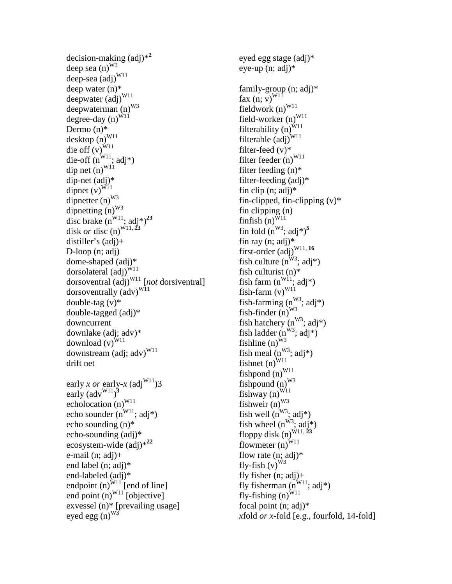```
decision-making (adj)*2
deep sea (n)^{W3}deep-sea (adj)<sup>W11</sup>
deep water (n)*
deepwater (adj)<sup>W11</sup>
deepwaterman (n)<sup>W3</sup>
degree-day (n)^{\hat{W}1\hat{1}}Dermo (n)*
desktop (n)^{W11}die off (v)<sup>W11</sup>
die-off (n^{W11}; \text{adj*})dip net (n)^{W11}dip-net (adj)*
dipnet (v)^{\widetilde{W11}}dipnetter (n)^{W3}dipnetting (n)^{W3}disc brake (n^{W11}; \text{adj}^*)^{23}disk or disc (n)<sup>\frac{\text{W11, 23}}{2}</sup>
distiller's (adj)+
D-loop (n; adj)
dome-shaped (adj)*
dorsolateral \overline{(adj)}^{W11}dorsoventral (adj)W11 [not dorsiventral]
dorsoventrally (\text{adv})^{\text{W11}}double-tag (v)<sup>*</sup>
double-tagged (adj)*
downcurrent
downlake (adj; adv)*
download (v)^{W11}downstream (adj; adv)<sup>W11</sup>
drift net
early x or early-x (adj<sup>W11</sup>)3
early \left(\text{adv}^{W11}\right)^3echolocation (n)^{W11}echo sounder (n^{W11}; \text{adj*})echo sounding (n)*
echo-sounding (adj)*
ecosystem-wide (adj)*22
e-mail (n; adj)+
end label (n; adj)*
end-labeled (adj)*
endpoint (n)^{W11} [end of line]
end point (n)^{W11} [objective]
exvessel (n)* [prevailing usage]
eyed egg (n)^{W3}
```
eyed egg stage (adj)\* eye-up (n; adj)\* family-group (n; adj)\* fax  $(n; v)^{W11}$ fieldwork  $(n)^{W11}$ field-worker  $(n)^{W11}$ filterability  $(n)$ <sup>W11</sup> filterable  $\left( adj \right)^{W11}$ filter-feed (v)\* filter feeder  $(n)^{W11}$ filter feeding (n)\* filter-feeding (adj)\* fin clip  $(n; adj)^*$ fin-clipped, fin-clipping  $(v)^*$ fin clipping (n)  $f$ infish (n)<sup>W11</sup> fin fold  $(n^{W3}; \text{adj}^*)^5$ fin ray (n; adj)\* first-order  $\left(\frac{1}{2}\right)^{W11, 16}$ fish culture  $(n^{W3})$ ; adj\*) fish culturist (n)\* fish farm  $(n^{W11}; \text{adj*})$ fish-farm  $(v)^{W11}$ fish-farming  $(n^{W3}; \text{adj}^*)$ fish-finder  $(n)^{W3}$ fish hatchery  $(n^{W3}; \text{adj}^*)$ fish ladder  $(n^{W3}; adj^*)$ fishline  $(n)^{\hat{W}^3}$ fish meal  $(n^{W3}; \text{adj}^*)$ fishnet  $(n)^{W11}$ fishpond  $(n)^{W11}$ fishpound  $(n)^{W3}$ fishway  $(n)^{W11}$ fishweir  $(n)^{W3}$ fish well  $(n^{W3}; \text{adj}^*)$ fish wheel  $(n^{W3}; \text{adj*})$ floppy disk (n)<sup>W11, 23</sup> flowmeter  $(n)^{W11}$ flow rate  $(n; \text{adj})^*$ fly-fish  $(v)^{W3}$ fly fisher  $(n; \text{adj})+$ fly fisherman  $(n^{W11}; \text{adj}^*)$ fly-fishing  $(n)^{\widetilde{W}11}$ focal point (n; adj)\* *x*fold *or x*-fold [e.g., fourfold, 14-fold]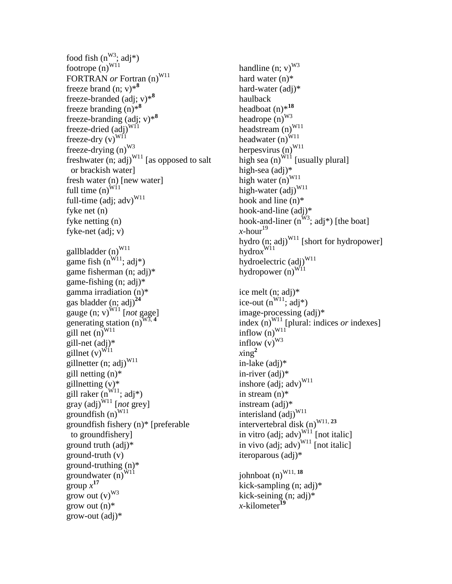food fish  $(n^{W3}; \text{adj}^*)$ footrope  $(n)^{W11}$ FORTRAN *or* Fortran (n)<sup>W11</sup> freeze brand  $(n; v)$ <sup>\*8</sup> freeze-branded (adj; v)\***<sup>8</sup>** freeze branding (n)\***<sup>8</sup>** freeze-branding (adj; v)\***<sup>8</sup>** freeze-dried  $(a\breve{d}j)^{WI1}$ freeze-dry  $(v)^{W11}$ freeze-drying  $(n)^{W3}$ freshwater  $(n; \tilde{adj})^{W11}$  [as opposed to salt or brackish water] fresh water (n) [new water] full time  $(n)^{\widetilde{W}_1/1}$ full-time (adj;  $\text{adv})^{\text{W11}}$ fyke net (n) fyke netting (n) fyke-net (adj; v) gallbladder  $(n)^{W11}$ game fish  $(n^{W11}; \text{adj*})$ game fisherman (n; adj)\* game-fishing (n; adj)\* gamma irradiation (n)\* gas bladder (n; adj)**<sup>24</sup>** gauge  $(n; v)^{W11}$  [*not* gage] generating station (n)<sup>W3</sup> gill net  $(n)$ <sup>W11</sup> gill-net (adj)\* gillnet  $(v)^{\text{W11}}$ gillnetter (n; adj) $^{W11}$ gill netting (n)\* gillnetting  $(v)$ \* gill raker  $(n^{W11}; \text{adj*})$  $\frac{1}{\sqrt{2}}$ gray (adj)<sup>W11</sup> [*not* grey] groundfish  $(n)^{W11}$ groundfish fishery (n)\* [preferable to groundfishery] ground truth (adj)\* ground-truth (v) ground-truthing (n)\* groundwater  $\overrightarrow{(n)}^{W11}$  $\int \frac{17}{2}$ grow out  $(v)^{W3}$ grow out  $(n)$ <sup>\*</sup> grow-out (adj)\*

handline  $(n; v)^{W3}$ hard water (n)\* hard-water (adj)\* haulback headboat (n)\***<sup>18</sup>** headrope  $(n)^{W3}$ headstream  $(n)^{W11}$ headwater  $(n)^{W11}$ herpesvirus  $(n)^{W11}$ high sea  $(n)^{\hat{W}_1}$  [usually plural] high-sea (adj)\* high water  $(n)^{W11}$ high-water  $\left( \text{adj} \right)^{W11}$ hook and line (n)\* hook-and-line (adj)\* hook-and-liner  $(n^{W3}; \text{adj}^*)$  [the boat]  $x$ -hour<sup>19</sup> hydro  $(n; adj)^{W11}$  [short for hydropower] hydro*x* W11 hydroelectric (adj)<sup>W11</sup> hydropower  $(n)^{W11}$ 

ice melt (n; adj)\* ice-out  $(n^{W11}; \alpha d j^*)$ image-processing (adj)\* index  $(n)^{W11}$  [plural: indices *or* indexes] inflow  $(n)^{W11}$ inflow  $(v)^{W3}$  $xing<sup>2</sup>$ in-lake (adj)\* in-river (adj)\* inshore (adj; adv)<sup>W11</sup> in stream (n)\* instream (adj)\* interisland (adj)<sup>W11</sup> intervertebral disk (n)<sup>W11, 23</sup> in vitro (adj; adv) $\overline{W^{11}}$  [not italic] in vivo (adj; adv) $^{W11}$  [not italic] iteroparous (adj)\* johnboat (n)<sup>W11, 18</sup>

kick-sampling (n; adj)\* kick-seining (n; adj)\* *x*-kilometer**<sup>19</sup>**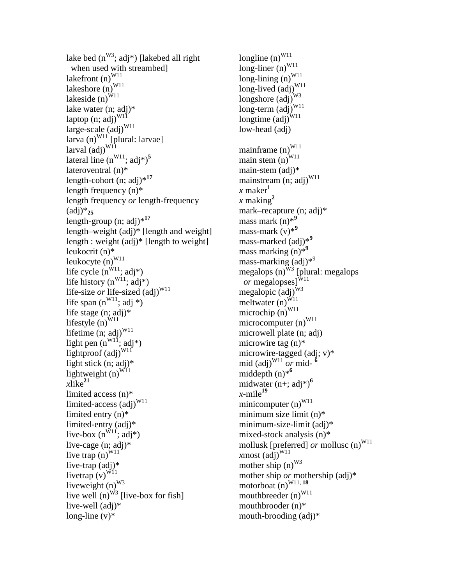```
lake bed (n^{W3}; \text{adj*}) [lakebed all right]
  when used with streambed]
lakefront (n)^{W11}lakeshore (n)^{W11}lakeside (n)^{\hat{W}11}lake water (n; adj)*
laptop (n; adj)^{W11}large-scale (\vec{adj})^{W11}larva (n)^{\text{W11}} [plural: larvae]
larval \left(\frac{1}{a}\right)^{W_{11}}lateral line (n^{W11}; adj^*)^5lateroventral (n)*
length-cohort (n; adj)*17
length frequency (n)*
length frequency or length-frequency 
(adi)*_{25}length-group (n; adj)*17
length–weight (adj)* [length and weight]
length : weight (adj)* [length to weight]
leukocrit (n)*
leukocyte (n)^{W11}life cycle (n^{W11}; adj^*)life history (n^{W11}; adj^*)life-size or life-sized (adj)<sup>W11</sup>
life span (n^{W11}; adj *)
life stage (n; adj)*
lifestyle (n)^{W11}lifetime (n; adj)^{W11}light pen (n^{W11}; adj^*)lightproof (adj)<sup>W11</sup>
light stick (n; adj)*
lightweight (n)^{W11}xlike<sup>21</sup>
limited access (n)*
limited-access \left( adj \right)^{W11}limited entry (n)*
limited-entry (adj)*
live-box (n^{\tilde{W}11}); adj*)
live-cage (n; adj)*
live trap (n)^{W11}live-trap (adj)*
livetrap (v)^{\tilde{W11}}liveweight (n)^{W3}live well (n)^{\overline{W_3}} [live-box for fish]
live-well (adj)*
long-line (v)<sup>*</sup>
```
longline  $(n)^{W11}$  $long$ -liner (n)<sup>W11</sup>  $long\text{-}liming(n)^{W11}$ long-lived  $\tilde{(adj)}^{W11}$ longshore  $\left(\text{adj}\right)^{W3}$  $long-term (adj)^{W11}$ longtime  $\left(\frac{\partial}{\partial t}\right)^{W11}$ low-head (adj) mainframe  $(n)^{W11}$ main stem  $(n)^{W11}$ main-stem (adj)\* mainstream (n; adj)<sup>W11</sup>  $\boldsymbol{x}$  maker<sup> $\boldsymbol{I}$ </sup>  $x$  making<sup>2</sup> mark–recapture (n; adj)\* mass mark (n)\***<sup>9</sup>** mass-mark (v)\***<sup>9</sup>** mass-marked (adj)\***<sup>9</sup>** mass marking (n)\***<sup>9</sup>** mass-marking (adj)<sup>\*9</sup> megalops (n)<sup>W3</sup> [plural: megalops  $or$  megalopses] $^{\text{W11}}$ megalopic  $\left(\text{adj}\right)^{W3}$ meltwater  $(n)^{W11}$ microchip  $(n)^{W11}$ microcomputer  $(n)^{W11}$ microwell plate (n; adj) microwire tag (n)\* microwire-tagged (adj; v)\* mid (adj)<sup>W11</sup> or mid- $\delta$ middepth (n)\***<sup>6</sup>** midwater (n+; adj\*)**<sup>6</sup>**  $x$ -mile<sup>19</sup> minicomputer  $(n)^{W11}$ minimum size limit (n)\* minimum-size-limit (adj)\* mixed-stock analysis (n)\* mollusk [preferred] *or* mollusc (n)<sup>W11</sup> *x*most  $\left(\text{adj}\right)^{W11}$ mother ship  $(n)^{W3}$ mother ship *or* mothership (adj)\* motorboat  $(n)^{W11, 18}$ mouthbreeder  $(n)^{W11}$ mouthbrooder (n)\* mouth-brooding (adj)\*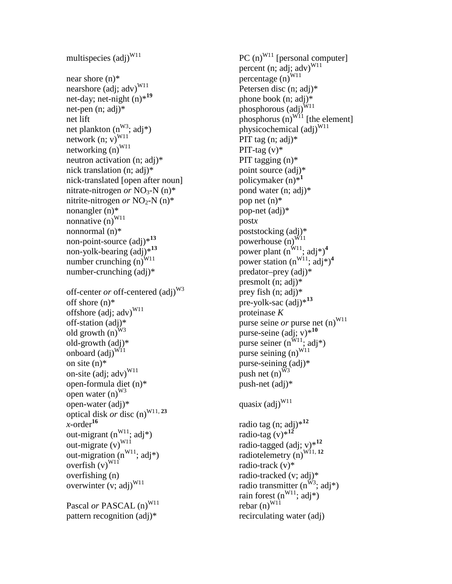```
multispecies \left( \text{adi} \right)^{W11}near shore (n)*
nearshore (adj; adv)<sup>W11</sup>
net-day; net-night (n)*19
net-pen (n; adj)*
net lift
net plankton (n<sup>W3</sup>; adj*)
network (n; v)^{W11}networking (n)^{W11}neutron activation (n; adj)*
nick translation (n; adj)*
nick-translated [open after noun]
nitrate-nitrogen or NO<sub>3</sub>-N (n)*
nitrite-nitrogen or NO<sub>2</sub>-N (n)*
nonangler (n)*
nonnative (n)^{W11}nonnormal (n)*
non-point-source (adj)*13
non-yolk-bearing (adj)*13
number crunching (n)^{W11}number-crunching (adj)*
off-center or off-centered (adj)<sup>W3</sup>
off shore (n)*
offshore (adj; adv)<sup>W11</sup>
off-station (adj)*
old growth (n)^{W3}old-growth (adj)*
onboard \left( \text{adj} \right)^{W11}on site (n)*
on-site \left( \text{adj}; \text{adv} \right)^{W11}open-formula diet (n)*
open water (n)^{W3}open-water (adj)*
optical disk or disc (n)<sup>W11, 23</sup>
x-order<sup>16</sup>
out-migrant (n^{W11}; \text{adj*})out-migrate (v)^{W11}out-migration (n^{W11}; \text{adj*})overfish (v)^{W11}overfishing (n)
overwinter (v; \text{adj})^{W11}Pascal or PASCAL (n)<sup>W11</sup>
pattern recognition (adj)*
```
PC  $(n)^{W11}$  [personal computer] percent (n;  $\overline{adj}$ ;  $\overline{adv}$ )<sup>W11</sup> percentage  $(n)^{W11}$ Petersen disc (n; adj)\* phone book (n; adj)\* phosphorous  $\overrightarrow{(adj)}^{W11}$ phosphorus  $(n)^{W11}$  [the element] physicochemical (adj)<sup>W11</sup> PIT tag (n; adj)\* PIT-tag  $(v)$ \* PIT tagging (n)\* point source (adj)\* policymaker (n)\***<sup>1</sup>** pond water (n; adj)\* pop net (n)\* pop-net (adj)\* post*x* poststocking (adj)\* powerhouse  $(n)^{W11}$ power plant  $(n^{W11}; adj^*)^4$ power station  $(n^{W11}; \text{adj*})^4$ predator–prey (adj)\* presmolt (n; adj)\* prey fish (n; adj)\* pre-yolk-sac (adj)\***<sup>13</sup>** proteinase *K* purse seine *or* purse net (n)<sup>W11</sup> purse-seine (adj; v)\***<sup>10</sup>** purse seiner  $(n^{\text{W11}}; \text{adj*})$ purse seining  $(n)^{\text{W11}}$ purse-seining (adj)\* push net  $(n)^{W3}$ push-net (adj)\* quasix (adj)<sup>W11</sup> radio tag (n; adj)\***<sup>12</sup>** radio-tag  $(v)$ <sup>\*12</sup> radio-tagged (adj; v)\***<sup>12</sup>** radiotelemetry (n)<sup>W11, 12</sup> radio-track (v)\* radio-tracked (v; adj)\* radio transmitter  $(n^{W3}; \text{adj*})$ rain forest  $(n^{W11}; \text{adj*})$ rebar  $(n)^{W11}$ recirculating water (adj)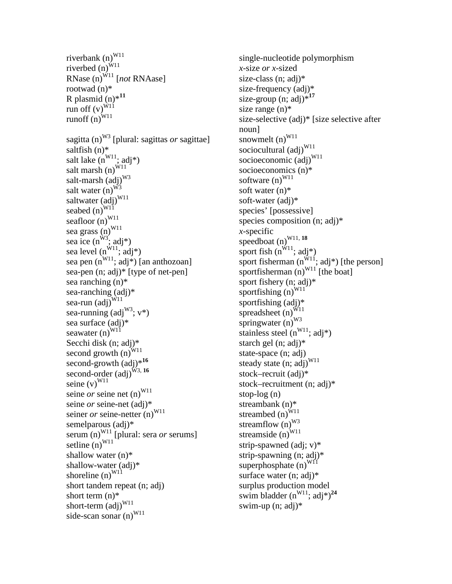```
riverbank (n)^{W11}riverbed \overline{(n)}^{W11}RNase (n)^{W11} [not RNAase]
rootwad (n)*
R plasmid (n)*11
run off (v)^{\hat{W}1\hat{1}}runoff \overrightarrow{(n)}^{W11}sagitta (n)W3 [plural: sagittas or sagittae]
saltfish (n)*
salt lake (n^{W11}; adj^*)salt marsh (n)^{\hat{W}11}salt-marsh \left( \text{adj} \right)^{W3}salt water (n)^{W3}saltwater (adj)<sup>W11</sup>
seabed (n)^{WI}seafloor (n)^{W11}sea grass (n)^{W11}sea ice (n^{W3}; \text{adj*})sea level (n^{W11}; \text{adj*})sea pen (n^{W11}; adj^*) [an anthozoan]
sea-pen (n; adj)* [type of net-pen]
sea ranching (n)*
sea-ranching (adj)*
sea-run \left(\text{adj}\right)^{W11}sea-running \left(\text{adj}^{\text{W3}}; \text{v}^*\right)sea surface (adj)*
seawater (n)^{W11}Secchi disk (n; adj)*
second growth (n)^{W11}second-growth (adj)<sup>*16</sup>
second-order \overline{(adj)}^{W_3, 16}seine (v)^{W11}seine or seine net (n)^{W11}seine or seine-net (adj)*
seiner or seine-netter (n)<sup>W11</sup>
semelparous (adj)*
serum (n)<sup>W11</sup> [plural: sera or serums]
setline (n)^{W11}shallow water (n)*
shallow-water (adj)*
shoreline (n)^{W11}short tandem repeat (n; adj)
short term (n)<sup>*</sup>
short-term \left(\frac{\dot{a}}{d}\right)^{W11}side-scan sonar (n)^{W11}
```
single-nucleotide polymorphism *x*-size *or x*-sized size-class (n; adj)\* size-frequency (adj)\* size-group  $(n; \text{adj})^{*17}$ size range (n)\* size-selective (adj)\* [size selective after noun] snowmelt  $(n)^{W11}$ sociocultural (adj)<sup>W11</sup> socioeconomic (adj)<sup>W11</sup> socioeconomics (n)\* software  $(n)^{W11}$ soft water (n)\* soft-water (adj)\* species' [possessive] species composition (n; adj)\* *x*-specific speedboat (n)<sup>W11, 18</sup> sport fish  $(n^{W11}; adj^*)$ sport fisherman  $(n^{W11})$ ; adj\*) [the person] sportfisherman  $(n)^{W11}$  [the boat] sport fishery (n; adj)\* sportfishing  $(n)^{W11}$ sportfishing (adj)\* spreadsheet  $(n)^{\text{W11}}$ springwater  $(n)^{W3}$ stainless steel  $(n^{W11}; \text{adj*})$ starch gel (n; adj)\* state-space (n; adj) steady state (n; adj)<sup>W11</sup> stock–recruit (adj)\* stock–recruitment (n; adj)\* stop-log (n) streambank (n)\* streambed  $\tilde{(n)}^{\tilde{W}11}$ streamflow  $(n)^{W3}$ streamside  $\tilde{(n)}^{W11}$ strip-spawned (adj; v)\* strip-spawning (n; adj)\* superphosphate  $(n)^{W11}$ surface water (n; adj)\* surplus production model swim bladder  $(n^{W11}; \text{adj*})^{24}$ swim-up (n; adj)\*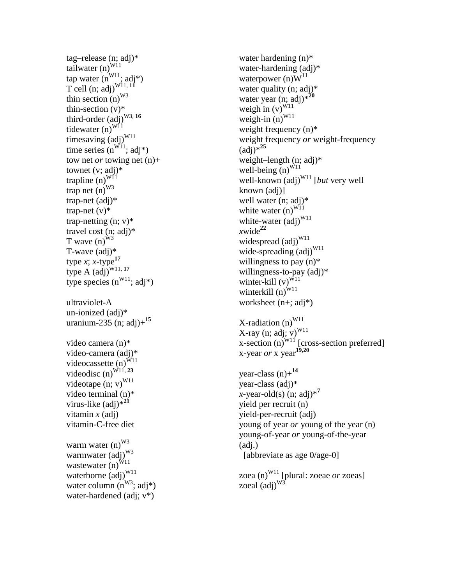tag –release (n; adj)\* tailwater  $(n)^{\overrightarrow{W11}}$ tap water  $(n^{W11}; \text{adj}^*)$ T cell  $(n; \text{adj})^{\text{W11, 11}}$ thin section  $(n)^{W3}$ thin -section (v)\* third-order (adj)<sup>W3, 16</sup> tidewater  $(n)^{W11}$ timesaving (adj)<sup>W11</sup> time series  $(n^{W11}; \text{adj*})$ tow net *or* towing net (n)+ townet  $(v; \text{adj})^*$ trapline  $(n)^{WII}$ trap net  $(n)^{W3}$ trap -net (adj)\* trap -net (v)\* trap -netting (n; v)\* travel cost (n; adj)\* T wave  $(n)^{\hat{W}^3}$ T-wave (adj)\* type  $x$ ;  $x$ -type<sup>17</sup> type  $\widehat{A}$  (adj)<sup>W11, 17</sup> type species  $(n^{W11}; \text{adj*})$ ultraviolet - A un -ionized (adj)\* uranium -235 (n; adj)+**<sup>15</sup>** video camera (n)\* video -camera (adj)\* videocassette  $(n)^{\tilde{W}11}$ videodisc  $(n)^{W11, 23}$ videotape  $(n; v)^{W11}$ video terminal (n)\* virus -like (adj)\***<sup>21</sup>** vitamin *x* (adj) vitamin - C -free diet warm water (n)<sup>W3</sup> warmwater (adj)<sup>W3</sup> wastewater  $(n)^{W11}$ waterborne (adj)<sup>W11</sup> water column  $(n^{W3}; \text{adj}^*)$ water -hardened (adj; v\*)

water hardening (n)\* water -hardening (adj)\* waterpower (n) $W^{11}$ water quality (n; adj)\* water year (n; adj)\***<sup>20</sup>** weigh in  $(v)^{W11}$ weigh-in  $(n)^{W11}$ weight frequency (n)\* weight frequency *or* weight -frequency  $\text{(adi)}*^{25}$ weight –length (n; adj)\* well-being  $(n)^{W11}$ well-known (adj)<sup>W11</sup> [*but* very well known (adj)] well water (n; adj)\* white water  $(n)^{W11}$ white-water (adj)<sup>W11</sup>  $xwide^{22}$ widespread  $\left( \text{adj} \right)^{W11}$ wide-spreading (adj)<sup>W11</sup> willingness to pay  $(n)$ <sup>\*</sup> willingness -to -pay (adj)\* winter-kill  $(v)^{\hat{W}11}$ winterkill  $(n)^{W11}$ worksheet (n+; adj\*) X-radiation (n)<sup>W11</sup><br>X-ray (n; adj; v)<sup>W11</sup> X-ray (n; adj; v)<sup>W11</sup><br>x-section (n)<sup>W11</sup> [cross-section preferred] x -year *or* x year**19,20** year -class (n)+**<sup>14</sup>** year -class (adj)\* *x* -year -old(s) (n; adj)\* **7** yield per recruit (n) yield -per -recruit (adj) young of year *or* young of the year (n ) young -of-year *or* young -of-the -year (adj.) [abbreviate as age 0/age -0]

zoea (n)<sup>W11</sup> [plural: zoeae *or* zoeas] zoeal  $\left(\alpha d\mathbf{i}\right)^{W_3}$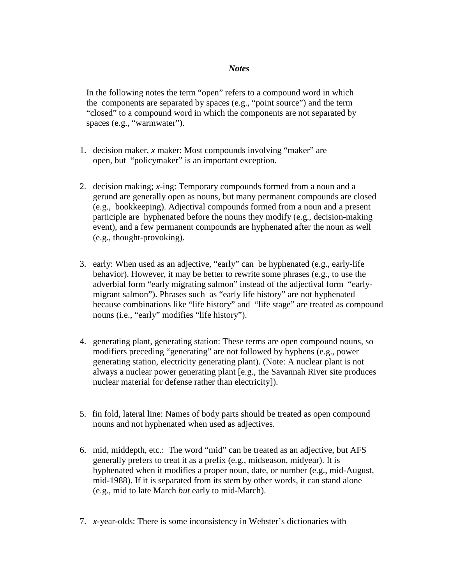## *Notes*

In the following notes the term "open" refers to a compound word in which the components are separated by spaces (e.g., "point source") and the term "closed" to a compound word in which the components are not separated by spaces (e.g., "warmwater").

- 1. decision maker, *x* maker: Most compounds involving "maker" are open, but "policymaker" is an important exception.
- 2. decision making; *x*-ing: Temporary compounds formed from a noun and a gerund are generally open as nouns, but many permanent compounds are closed (e.g., bookkeeping). Adjectival compounds formed from a noun and a present participle are hyphenated before the nouns they modify (e.g., decision-making event), and a few permanent compounds are hyphenated after the noun as well (e.g., thought-provoking).
- 3. early: When used as an adjective, "early" can be hyphenated (e.g., early-life behavior). However, it may be better to rewrite some phrases (e.g., to use the adverbial form "early migrating salmon" instead of the adjectival form "earlymigrant salmon"). Phrases such as "early life history" are not hyphenated because combinations like "life history" and "life stage" are treated as compound nouns (i.e., "early" modifies "life history").
- 4. generating plant, generating station: These terms are open compound nouns, so modifiers preceding "generating" are not followed by hyphens (e.g., power generating station, electricity generating plant). (Note: A nuclear plant is not always a nuclear power generating plant [e.g., the Savannah River site produces nuclear material for defense rather than electricity]).
- 5. fin fold, lateral line: Names of body parts should be treated as open compound nouns and not hyphenated when used as adjectives.
- 6. mid, middepth, etc.: The word "mid" can be treated as an adjective, but AFS generally prefers to treat it as a prefix (e.g., midseason, midyear). It is hyphenated when it modifies a proper noun, date, or number (e.g., mid-August, mid-1988). If it is separated from its stem by other words, it can stand alone (e.g., mid to late March *but* early to mid-March).
- 7. *x*-year-olds: There is some inconsistency in Webster's dictionaries with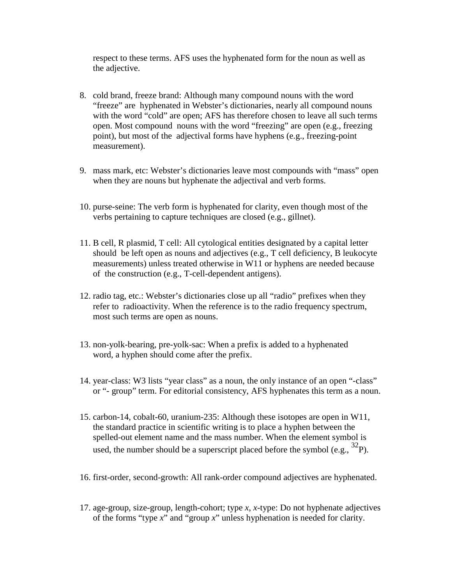respect to these terms. AFS uses the hyphenated form for the noun as well as the adjective.

- 8. cold brand, freeze brand: Although many compound nouns with the word "freeze" are hyphenated in Webster's dictionaries, nearly all compound nouns with the word "cold" are open; AFS has therefore chosen to leave all such terms open. Most compound nouns with the word "freezing" are open (e.g., freezing point), but most of the adjectival forms have hyphens (e.g., freezing-point measurement).
- 9. mass mark, etc: Webster's dictionaries leave most compounds with "mass" open when they are nouns but hyphenate the adjectival and verb forms.
- 10. purse-seine: The verb form is hyphenated for clarity, even though most of the verbs pertaining to capture techniques are closed (e.g., gillnet).
- 11. B cell, R plasmid, T cell: All cytological entities designated by a capital letter should be left open as nouns and adjectives (e.g., T cell deficiency, B leukocyte measurements) unless treated otherwise in W11 or hyphens are needed because of the construction (e.g., T-cell-dependent antigens).
- 12. radio tag, etc.: Webster's dictionaries close up all "radio" prefixes when they refer to radioactivity. When the reference is to the radio frequency spectrum, most such terms are open as nouns.
- 13. non-yolk-bearing, pre-yolk-sac: When a prefix is added to a hyphenated word, a hyphen should come after the prefix.
- 14. year-class: W3 lists "year class" as a noun, the only instance of an open "-class" or "- group" term. For editorial consistency, AFS hyphenates this term as a noun.
- 15. carbon-14, cobalt-60, uranium-235: Although these isotopes are open in W11, the standard practice in scientific writing is to place a hyphen between the spelled-out element name and the mass number. When the element symbol is used, the number should be a superscript placed before the symbol (e.g.,  ${}^{32}P$ ).
- 16. first-order, second-growth: All rank-order compound adjectives are hyphenated.
- 17. age-group, size-group, length-cohort; type *x*, *x-*type: Do not hyphenate adjectives of the forms "type *x*" and "group *x*" unless hyphenation is needed for clarity.